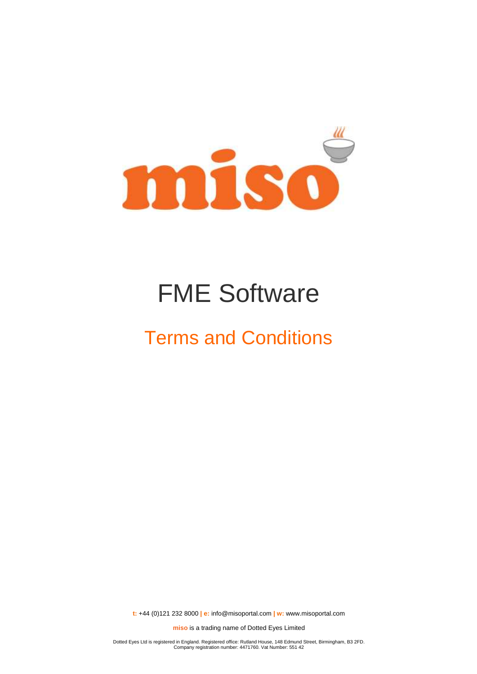

# FME Software

## Terms and Conditions

**t:** +44 (0)121 232 8000 **| e:** [info@misoportal.com](mailto:info@misoportal.com) **| w:** [www.misoportal.com](http://www.misoportal.com/)

**miso** is a trading name of Dotted Eyes Limited

Dotted Eyes Ltd is registered in England. Registered office: Rutland House, 148 Edmund Street, Birmingham, B3 2FD. Company registration number: 4471760. Vat Number: 551 42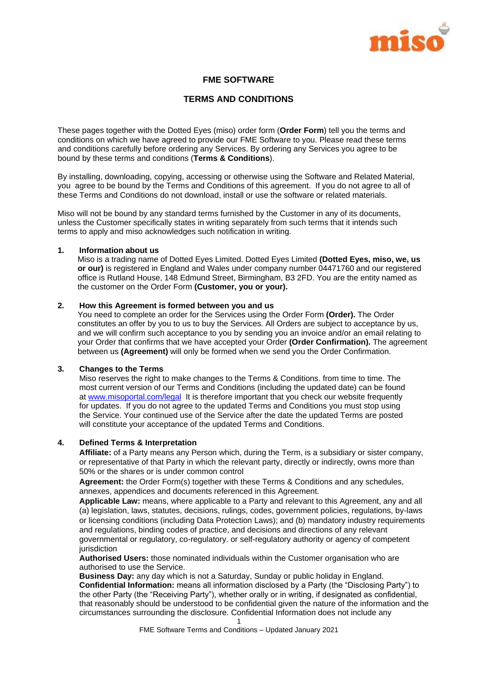

## **FME SOFTWARE**

## **TERMS AND CONDITIONS**

These pages together with the Dotted Eyes (miso) order form (**Order Form**) tell you the terms and conditions on which we have agreed to provide our FME Software to you. Please read these terms and conditions carefully before ordering any Services. By ordering any Services you agree to be bound by these terms and conditions (**Terms & Conditions**).

By installing, downloading, copying, accessing or otherwise using the Software and Related Material, you agree to be bound by the Terms and Conditions of this agreement. If you do not agree to all of these Terms and Conditions do not download, install or use the software or related materials.

Miso will not be bound by any standard terms furnished by the Customer in any of its documents, unless the Customer specifically states in writing separately from such terms that it intends such terms to apply and miso acknowledges such notification in writing.

## **1. Information about us**

Miso is a trading name of Dotted Eyes Limited. Dotted Eyes Limited **(Dotted Eyes, miso, we, us or our)** is registered in England and Wales under company number 04471760 and our registered office is Rutland House, 148 Edmund Street, Birmingham, B3 2FD. You are the entity named as the customer on the Order Form **(Customer, you or your).**

#### **2. How this Agreement is formed between you and us**

You need to complete an order for the Services using the Order Form **(Order).** The Order constitutes an offer by you to us to buy the Services. All Orders are subject to acceptance by us, and we will confirm such acceptance to you by sending you an invoice and/or an email relating to your Order that confirms that we have accepted your Order **(Order Confirmation).** The agreement between us **(Agreement)** will only be formed when we send you the Order Confirmation.

#### **3. Changes to the Terms**

Miso reserves the right to make changes to the Terms & Conditions. from time to time. The most current version of our Terms and Conditions (including the updated date) can be found at [www.misoportal.com/legal](http://www.misoportal.com/legal) It is therefore important that you check our website frequently for updates. If you do not agree to the updated Terms and Conditions you must stop using the Service. Your continued use of the Service after the date the updated Terms are posted will constitute your acceptance of the updated Terms and Conditions.

#### **4. Defined Terms & Interpretation**

**Affiliate:** of a Party means any Person which, during the Term, is a subsidiary or sister company, or representative of that Party in which the relevant party, directly or indirectly, owns more than 50% or the shares or is under common control

**Agreement:** the Order Form(s) together with these Terms & Conditions and any schedules, annexes, appendices and documents referenced in this Agreement.

**Applicable Law:** means, where applicable to a Party and relevant to this Agreement, any and all (a) legislation, laws, statutes, decisions, rulings, codes, government policies, regulations, by-laws or licensing conditions (including Data Protection Laws); and (b) mandatory industry requirements and regulations, binding codes of practice, and decisions and directions of any relevant governmental or regulatory, co-regulatory. or self-regulatory authority or agency of competent jurisdiction

**Authorised Users:** those nominated individuals within the Customer organisation who are authorised to use the Service.

**Business Day:** any day which is not a Saturday, Sunday or public holiday in England. **Confidential Information:** means all information disclosed by a Party (the "Disclosing Party") to the other Party (the "Receiving Party"), whether orally or in writing, if designated as confidential, that reasonably should be understood to be confidential given the nature of the information and the circumstances surrounding the disclosure. Confidential Information does not include any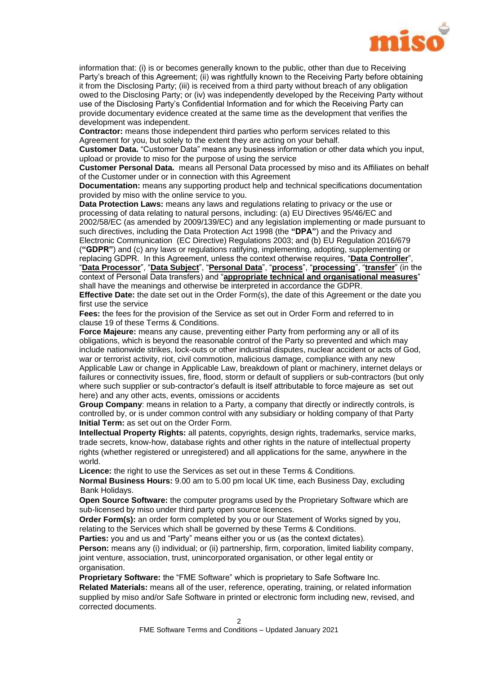

information that: (i) is or becomes generally known to the public, other than due to Receiving Party's breach of this Agreement; (ii) was rightfully known to the Receiving Party before obtaining it from the Disclosing Party; (iii) is received from a third party without breach of any obligation owed to the Disclosing Party; or (iv) was independently developed by the Receiving Party without use of the Disclosing Party's Confidential Information and for which the Receiving Party can provide documentary evidence created at the same time as the development that verifies the development was independent.

**Contractor:** means those independent third parties who perform services related to this Agreement for you, but solely to the extent they are acting on your behalf.

**Customer Data.** "Customer Data" means any business information or other data which you input, upload or provide to miso for the purpose of using the service

**Customer Personal Data.** means all Personal Data processed by miso and its Affiliates on behalf of the Customer under or in connection with this Agreement

**Documentation:** means any supporting product help and technical specifications documentation provided by miso with the online service to you.

**Data Protection Laws:** means any laws and regulations relating to privacy or the use or processing of data relating to natural persons, including: (a) EU Directives 95/46/EC and 2002/58/EC (as amended by 2009/139/EC) and any legislation implementing or made pursuant to such directives, including the Data Protection Act 1998 (the **"DPA"**) and the Privacy and Electronic Communication (EC Directive) Regulations 2003; and (b) EU Regulation 2016/679 (**"GDPR"**) and (c) any laws or regulations ratifying, implementing, adopting, supplementing or replacing GDPR. In this Agreement, unless the context otherwise requires, "**Data Controller**", "**Data Processor**", "**Data Subject**", "**Personal Data**", "**process**", "**processing**", "**transfer**" (in the

context of Personal Data transfers) and "**appropriate technical and organisational measures**" shall have the meanings and otherwise be interpreted in accordance the GDPR.

**Effective Date:** the date set out in the Order Form(s), the date of this Agreement or the date you first use the service

**Fees:** the fees for the provision of the Service as set out in Order Form and referred to in clause [19](#page-6-0) of these Terms & Conditions.

**Force Majeure:** means any cause, preventing either Party from performing any or all of its obligations, which is beyond the reasonable control of the Party so prevented and which may include nationwide strikes, lock-outs or other industrial disputes, nuclear accident or acts of God, war or terrorist activity, riot, civil commotion, malicious damage, compliance with any new Applicable Law or change in Applicable Law, breakdown of plant or machinery, internet delays or failures or connectivity issues, fire, flood, storm or default of suppliers or sub-contractors (but only where such supplier or sub-contractor's default is itself attributable to force majeure as set out here) and any other acts, events, omissions or accidents

**Group Company**: means in relation to a Party, a company that directly or indirectly controls, is controlled by, or is under common control with any subsidiary or holding company of that Party **Initial Term:** as set out on the Order Form.

**Intellectual Property Rights:** all patents, copyrights, design rights, trademarks, service marks, trade secrets, know-how, database rights and other rights in the nature of intellectual property rights (whether registered or unregistered) and all applications for the same, anywhere in the world.

**Licence:** the right to use the Services as set out in these Terms & Conditions.

**Normal Business Hours:** 9.00 am to 5.00 pm local UK time, each Business Day, excluding Bank Holidays.

**Open Source Software:** the computer programs used by the Proprietary Software which are sub-licensed by miso under third party open source licences.

**Order Form(s):** an order form completed by you or our Statement of Works signed by you, relating to the Services which shall be governed by these Terms & Conditions.

**Parties:** you and us and "Party" means either you or us (as the context dictates).

**Person:** means any (i) individual; or (ii) partnership, firm, corporation, limited liability company, joint venture, association, trust, unincorporated organisation, or other legal entity or organisation.

**Proprietary Software:** the "FME Software" which is proprietary to Safe Software Inc.

**Related Materials:** means all of the user, reference, operating, training, or related information supplied by miso and/or Safe Software in printed or electronic form including new, revised, and corrected documents.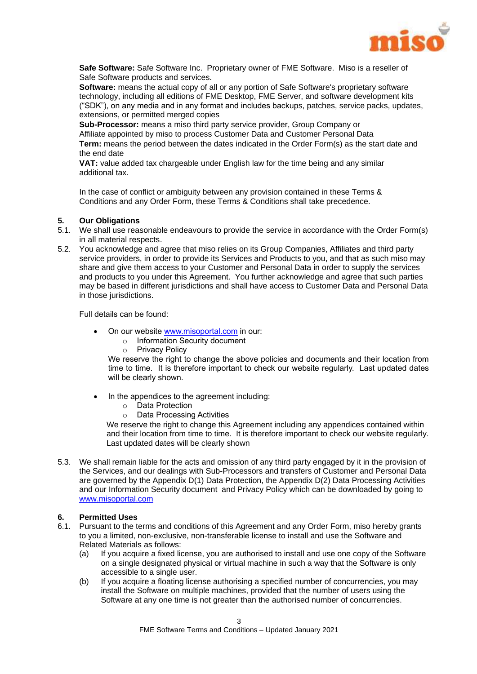

**Safe Software:** Safe Software Inc. Proprietary owner of FME Software. Miso is a reseller of Safe Software products and services.

**Software:** means the actual copy of all or any portion of Safe Software's proprietary software technology, including all editions of FME Desktop, FME Server, and software development kits ("SDK"), on any media and in any format and includes backups, patches, service packs, updates, extensions, or permitted merged copies

**Sub-Processor:** means a miso third party service provider, Group Company or Affiliate appointed by miso to process Customer Data and Customer Personal Data **Term:** means the period between the dates indicated in the Order Form(s) as the start date and the end date

**VAT:** value added tax chargeable under English law for the time being and any similar additional tax.

In the case of conflict or ambiguity between any provision contained in these Terms & Conditions and any Order Form, these Terms & Conditions shall take precedence.

## **5. Our Obligations**

- 5.1. We shall use reasonable endeavours to provide the service in accordance with the Order Form(s) in all material respects.
- 5.2. You acknowledge and agree that miso relies on its Group Companies, Affiliates and third party service providers, in order to provide its Services and Products to you, and that as such miso may share and give them access to your Customer and Personal Data in order to supply the services and products to you under this Agreement. You further acknowledge and agree that such parties may be based in different jurisdictions and shall have access to Customer Data and Personal Data in those jurisdictions.

Full details can be found:

- On our website www.misoportal.com in our:
	- o Information Security document
	- o Privacy Policy

We reserve the right to change the above policies and documents and their location from time to time. It is therefore important to check our website regularly. Last updated dates will be clearly shown.

- In the appendices to the agreement including:
	- o Data Protection
	- o Data Processing Activities

We reserve the right to change this Agreement including any appendices contained within and their location from time to time. It is therefore important to check our website regularly. Last updated dates will be clearly shown

5.3. We shall remain liable for the acts and omission of any third party engaged by it in the provision of the Services, and our dealings with Sub-Processors and transfers of Customer and Personal Data are governed by the Appendix D(1) Data Protection, the Appendix D(2) Data Processing Activities and our Information Security document and Privacy Policy which can be downloaded by going to www.misoportal.com

## **6. Permitted Uses**

- 6.1. Pursuant to the terms and conditions of this Agreement and any Order Form, miso hereby grants to you a limited, non-exclusive, non-transferable license to install and use the Software and Related Materials as follows:
	- (a) If you acquire a fixed license, you are authorised to install and use one copy of the Software on a single designated physical or virtual machine in such a way that the Software is only accessible to a single user.
	- (b) If you acquire a floating license authorising a specified number of concurrencies, you may install the Software on multiple machines, provided that the number of users using the Software at any one time is not greater than the authorised number of concurrencies.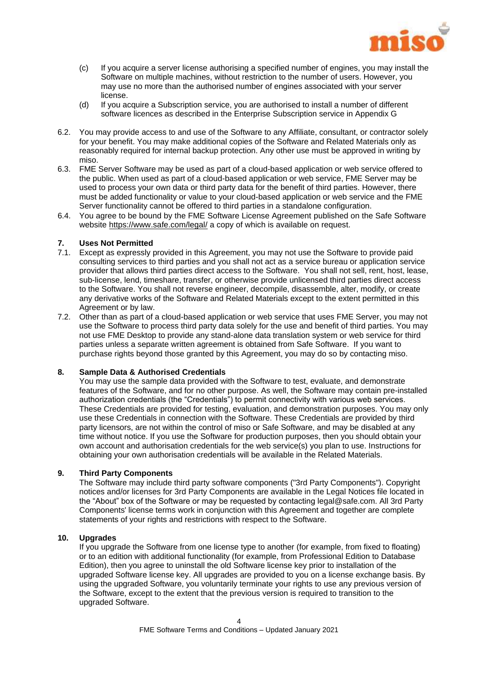

- (c) If you acquire a server license authorising a specified number of engines, you may install the Software on multiple machines, without restriction to the number of users. However, you may use no more than the authorised number of engines associated with your server license.
- (d) If you acquire a Subscription service, you are authorised to install a number of different software licences as described in the Enterprise Subscription service in Appendix G
- 6.2. You may provide access to and use of the Software to any Affiliate, consultant, or contractor solely for your benefit. You may make additional copies of the Software and Related Materials only as reasonably required for internal backup protection. Any other use must be approved in writing by miso.
- 6.3. FME Server Software may be used as part of a cloud-based application or web service offered to the public. When used as part of a cloud-based application or web service, FME Server may be used to process your own data or third party data for the benefit of third parties. However, there must be added functionality or value to your cloud-based application or web service and the FME Server functionality cannot be offered to third parties in a standalone configuration.
- 6.4. You agree to be bound by the FME Software License Agreement published on the Safe Software website<https://www.safe.com/legal/> a copy of which is available on request.

## <span id="page-4-0"></span>**7. Uses Not Permitted**

- 7.1. Except as expressly provided in this Agreement, you may not use the Software to provide paid consulting services to third parties and you shall not act as a service bureau or application service provider that allows third parties direct access to the Software. You shall not sell, rent, host, lease, sub-license, lend, timeshare, transfer, or otherwise provide unlicensed third parties direct access to the Software. You shall not reverse engineer, decompile, disassemble, alter, modify, or create any derivative works of the Software and Related Materials except to the extent permitted in this Agreement or by law.
- 7.2. Other than as part of a cloud-based application or web service that uses FME Server, you may not use the Software to process third party data solely for the use and benefit of third parties. You may not use FME Desktop to provide any stand-alone data translation system or web service for third parties unless a separate written agreement is obtained from Safe Software. If you want to purchase rights beyond those granted by this Agreement, you may do so by contacting miso.

## <span id="page-4-1"></span>**8. Sample Data & Authorised Credentials**

You may use the sample data provided with the Software to test, evaluate, and demonstrate features of the Software, and for no other purpose. As well, the Software may contain pre-installed authorization credentials (the "Credentials") to permit connectivity with various web services. These Credentials are provided for testing, evaluation, and demonstration purposes. You may only use these Credentials in connection with the Software. These Credentials are provided by third party licensors, are not within the control of miso or Safe Software, and may be disabled at any time without notice. If you use the Software for production purposes, then you should obtain your own account and authorisation credentials for the web service(s) you plan to use. Instructions for obtaining your own authorisation credentials will be available in the Related Materials.

#### <span id="page-4-2"></span>**9. Third Party Components**

The Software may include third party software components ("3rd Party Components"). Copyright notices and/or licenses for 3rd Party Components are available in the Legal Notices file located in the "About" box of the Software or may be requested by contacting [legal@safe.com.](mailto:legal@safe.com) All 3rd Party Components' license terms work in conjunction with this Agreement and together are complete statements of your rights and restrictions with respect to the Software.

#### **10. Upgrades**

If you upgrade the Software from one license type to another (for example, from fixed to floating) or to an edition with additional functionality (for example, from Professional Edition to Database Edition), then you agree to uninstall the old Software license key prior to installation of the upgraded Software license key. All upgrades are provided to you on a license exchange basis. By using the upgraded Software, you voluntarily terminate your rights to use any previous version of the Software, except to the extent that the previous version is required to transition to the upgraded Software.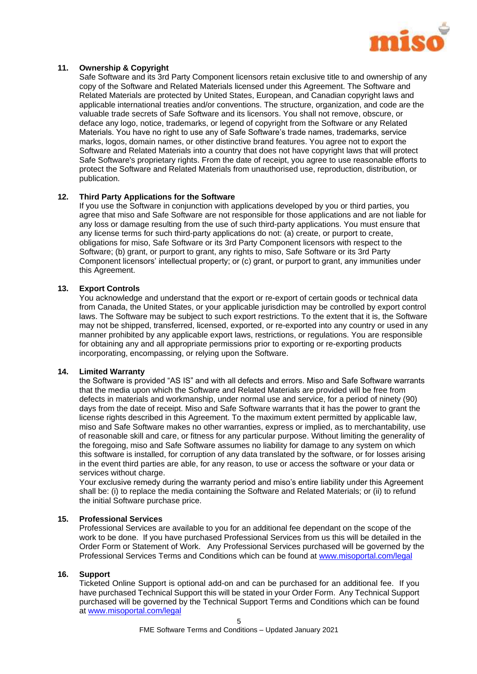

## <span id="page-5-0"></span>**11. Ownership & Copyright**

Safe Software and its 3rd Party Component licensors retain exclusive title to and ownership of any copy of the Software and Related Materials licensed under this Agreement. The Software and Related Materials are protected by United States, European, and Canadian copyright laws and applicable international treaties and/or conventions. The structure, organization, and code are the valuable trade secrets of Safe Software and its licensors. You shall not remove, obscure, or deface any logo, notice, trademarks, or legend of copyright from the Software or any Related Materials. You have no right to use any of Safe Software's trade names, trademarks, service marks, logos, domain names, or other distinctive brand features. You agree not to export the Software and Related Materials into a country that does not have copyright laws that will protect Safe Software's proprietary rights. From the date of receipt, you agree to use reasonable efforts to protect the Software and Related Materials from unauthorised use, reproduction, distribution, or publication.

## <span id="page-5-1"></span>**12. Third Party Applications for the Software**

If you use the Software in conjunction with applications developed by you or third parties, you agree that miso and Safe Software are not responsible for those applications and are not liable for any loss or damage resulting from the use of such third-party applications. You must ensure that any license terms for such third-party applications do not: (a) create, or purport to create, obligations for miso, Safe Software or its 3rd Party Component licensors with respect to the Software; (b) grant, or purport to grant, any rights to miso. Safe Software or its 3rd Party Component licensors' intellectual property; or (c) grant, or purport to grant, any immunities under this Agreement.

#### **13. Export Controls**

You acknowledge and understand that the export or re-export of certain goods or technical data from Canada, the United States, or your applicable jurisdiction may be controlled by export control laws. The Software may be subject to such export restrictions. To the extent that it is, the Software may not be shipped, transferred, licensed, exported, or re-exported into any country or used in any manner prohibited by any applicable export laws, restrictions, or regulations. You are responsible for obtaining any and all appropriate permissions prior to exporting or re-exporting products incorporating, encompassing, or relying upon the Software.

#### **14. Limited Warranty**

the Software is provided "AS IS" and with all defects and errors. Miso and Safe Software warrants that the media upon which the Software and Related Materials are provided will be free from defects in materials and workmanship, under normal use and service, for a period of ninety (90) days from the date of receipt. Miso and Safe Software warrants that it has the power to grant the license rights described in this Agreement. To the maximum extent permitted by applicable law, miso and Safe Software makes no other warranties, express or implied, as to merchantability, use of reasonable skill and care, or fitness for any particular purpose. Without limiting the generality of the foregoing, miso and Safe Software assumes no liability for damage to any system on which this software is installed, for corruption of any data translated by the software, or for losses arising in the event third parties are able, for any reason, to use or access the software or your data or services without charge.

Your exclusive remedy during the warranty period and miso's entire liability under this Agreement shall be: (i) to replace the media containing the Software and Related Materials; or (ii) to refund the initial Software purchase price.

#### **15. Professional Services**

Professional Services are available to you for an additional fee dependant on the scope of the work to be done. If you have purchased Professional Services from us this will be detailed in the Order Form or Statement of Work. Any Professional Services purchased will be governed by the Professional Services Terms and Conditions which can be found at [www.misoportal.com/legal](http://www.misportal.com/legal)

### **16. Support**

Ticketed Online Support is optional add-on and can be purchased for an additional fee. If you have purchased Technical Support this will be stated in your Order Form. Any Technical Support purchased will be governed by the Technical Support Terms and Conditions which can be found at [www.misoportal.com/legal](http://www.misportal.com/legal)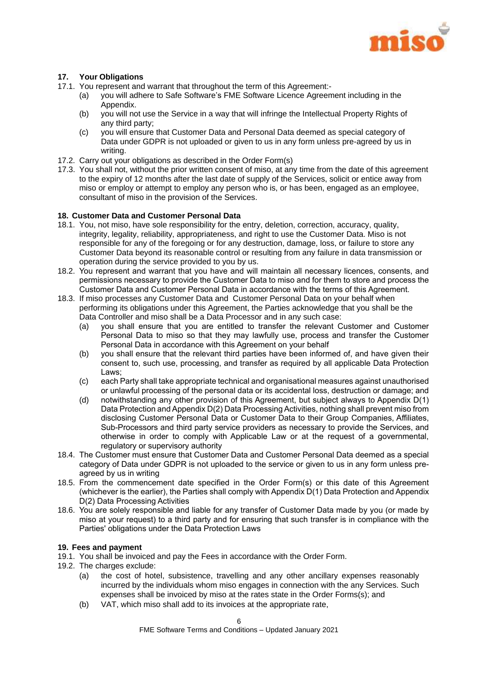

## <span id="page-6-1"></span>**17. Your Obligations**

- 17.1. You represent and warrant that throughout the term of this Agreement:-
	- (a) you will adhere to Safe Software's FME Software Licence Agreement including in the Appendix.
	- (b) you will not use the Service in a way that will infringe the Intellectual Property Rights of any third party;
	- (c) you will ensure that Customer Data and Personal Data deemed as special category of Data under GDPR is not uploaded or given to us in any form unless pre-agreed by us in writing.
- 17.2. Carry out your obligations as described in the Order Form(s)
- 17.3. You shall not, without the prior written consent of miso, at any time from the date of this agreement to the expiry of 12 months after the last date of supply of the Services, solicit or entice away from miso or employ or attempt to employ any person who is, or has been, engaged as an employee, consultant of miso in the provision of the Services.

## <span id="page-6-2"></span>**18. Customer Data and Customer Personal Data**

- 18.1. You, not miso, have sole responsibility for the entry, deletion, correction, accuracy, quality, integrity, legality, reliability, appropriateness, and right to use the Customer Data. Miso is not responsible for any of the foregoing or for any destruction, damage, loss, or failure to store any Customer Data beyond its reasonable control or resulting from any failure in data transmission or operation during the service provided to you by us.
- 18.2. You represent and warrant that you have and will maintain all necessary licences, consents, and permissions necessary to provide the Customer Data to miso and for them to store and process the Customer Data and Customer Personal Data in accordance with the terms of this Agreement.
- 18.3. If miso processes any Customer Data and Customer Personal Data on your behalf when performing its obligations under this Agreement, the Parties acknowledge that you shall be the Data Controller and miso shall be a Data Processor and in any such case:
	- (a) you shall ensure that you are entitled to transfer the relevant Customer and Customer Personal Data to miso so that they may lawfully use, process and transfer the Customer Personal Data in accordance with this Agreement on your behalf
	- (b) you shall ensure that the relevant third parties have been informed of, and have given their consent to, such use, processing, and transfer as required by all applicable Data Protection Laws;
	- (c) each Party shall take appropriate technical and organisational measures against unauthorised or unlawful processing of the personal data or its accidental loss, destruction or damage; and
	- (d) notwithstanding any other provision of this Agreement, but subject always to Appendix D(1) Data Protection and Appendix D(2) Data Processing Activities, nothing shall prevent miso from disclosing Customer Personal Data or Customer Data to their Group Companies, Affiliates, Sub-Processors and third party service providers as necessary to provide the Services, and otherwise in order to comply with Applicable Law or at the request of a governmental, regulatory or supervisory authority
- 18.4. The Customer must ensure that Customer Data and Customer Personal Data deemed as a special category of Data under GDPR is not uploaded to the service or given to us in any form unless preagreed by us in writing
- 18.5. From the commencement date specified in the Order Form(s) or this date of this Agreement (whichever is the earlier), the Parties shall comply with Appendix D(1) Data Protection and Appendix D(2) Data Processing Activities
- 18.6. You are solely responsible and liable for any transfer of Customer Data made by you (or made by miso at your request) to a third party and for ensuring that such transfer is in compliance with the Parties' obligations under the Data Protection Laws

## <span id="page-6-0"></span>**19. Fees and payment**

- 19.1. You shall be invoiced and pay the Fees in accordance with the Order Form.
- 19.2. The charges exclude:
	- (a) the cost of hotel, subsistence, travelling and any other ancillary expenses reasonably incurred by the individuals whom miso engages in connection with the any Services. Such expenses shall be invoiced by miso at the rates state in the Order Forms(s); and
	- (b) VAT, which miso shall add to its invoices at the appropriate rate,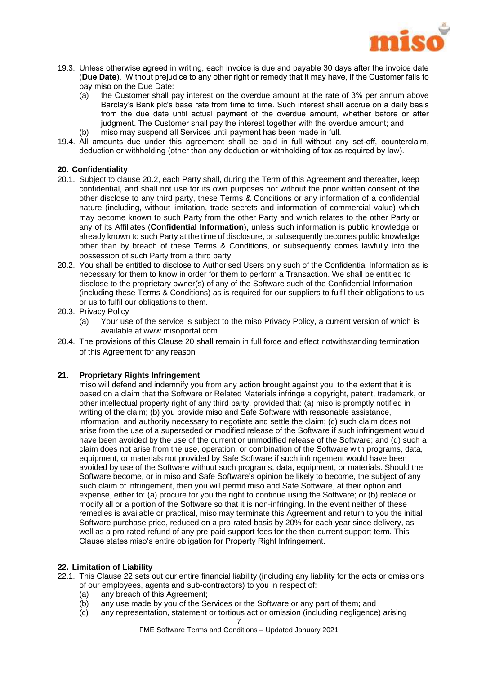

- 19.3. Unless otherwise agreed in writing, each invoice is due and payable 30 days after the invoice date (**Due Date**). Without prejudice to any other right or remedy that it may have, if the Customer fails to pay miso on the Due Date:
	- (a) the Customer shall pay interest on the overdue amount at the rate of 3% per annum above Barclay's Bank plc's base rate from time to time. Such interest shall accrue on a daily basis from the due date until actual payment of the overdue amount, whether before or after judgment. The Customer shall pay the interest together with the overdue amount; and
	- (b) miso may suspend all Services until payment has been made in full.
- 19.4. All amounts due under this agreement shall be paid in full without any set-off, counterclaim, deduction or withholding (other than any deduction or withholding of tax as required by law).

### <span id="page-7-1"></span>**20. Confidentiality**

- 20.1. Subject to clause [20.2, e](#page-7-0)ach Party shall, during the Term of this Agreement and thereafter, keep confidential, and shall not use for its own purposes nor without the prior written consent of the other disclose to any third party, these Terms & Conditions or any information of a confidential nature (including, without limitation, trade secrets and information of commercial value) which may become known to such Party from the other Party and which relates to the other Party or any of its Affiliates (**Confidential Information**), unless such information is public knowledge or already known to such Party at the time of disclosure, or subsequently becomes public knowledge other than by breach of these Terms & Conditions, or subsequently comes lawfully into the possession of such Party from a third party.
- <span id="page-7-0"></span>20.2. You shall be entitled to disclose to Authorised Users only such of the Confidential Information as is necessary for them to know in order for them to perform a Transaction. We shall be entitled to disclose to the proprietary owner(s) of any of the Software such of the Confidential Information (including these Terms & Conditions) as is required for our suppliers to fulfil their obligations to us or us to fulfil our obligations to them.
- 20.3. Privacy Policy
	- (a) Your use of the service is subject to the miso Privacy Policy, a current version of which is available at www.misoportal.com
- 20.4. The provisions of this Clause [20](#page-7-1) shall remain in full force and effect notwithstanding termination of this Agreement for any reason

#### **21. Proprietary Rights Infringement**

miso will defend and indemnify you from any action brought against you, to the extent that it is based on a claim that the Software or Related Materials infringe a copyright, patent, trademark, or other intellectual property right of any third party, provided that: (a) miso is promptly notified in writing of the claim; (b) you provide miso and Safe Software with reasonable assistance, information, and authority necessary to negotiate and settle the claim; (c) such claim does not arise from the use of a superseded or modified release of the Software if such infringement would have been avoided by the use of the current or unmodified release of the Software; and (d) such a claim does not arise from the use, operation, or combination of the Software with programs, data, equipment, or materials not provided by Safe Software if such infringement would have been avoided by use of the Software without such programs, data, equipment, or materials. Should the Software become, or in miso and Safe Software's opinion be likely to become, the subject of any such claim of infringement, then you will permit miso and Safe Software, at their option and expense, either to: (a) procure for you the right to continue using the Software; or (b) replace or modify all or a portion of the Software so that it is non-infringing. In the event neither of these remedies is available or practical, miso may terminate this Agreement and return to you the initial Software purchase price, reduced on a pro-rated basis by 20% for each year since delivery, as well as a pro-rated refund of any pre-paid support fees for the then-current support term. This Clause states miso's entire obligation for Property Right Infringement.

#### <span id="page-7-2"></span>**22. Limitation of Liability**

- 22.1. This Clause [22](#page-7-2) sets out our entire financial liability (including any liability for the acts or omissions of our employees, agents and sub-contractors) to you in respect of:
	- (a) any breach of this Agreement;
	- (b) any use made by you of the Services or the Software or any part of them; and
	- (c) any representation, statement or tortious act or omission (including negligence) arising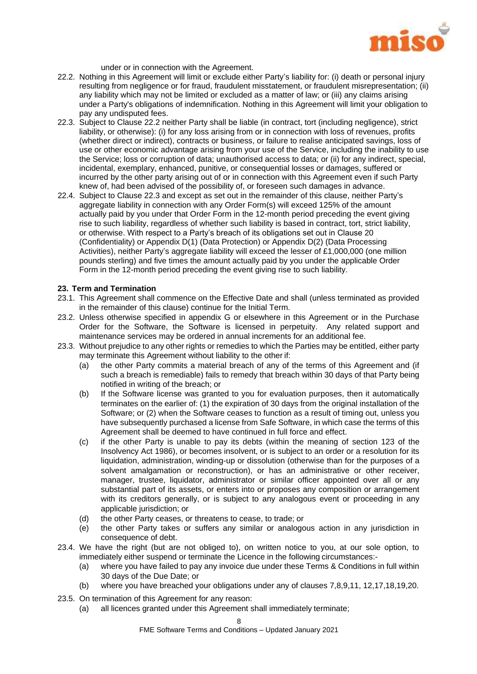

under or in connection with the Agreement.

- <span id="page-8-0"></span>22.2. Nothing in this Agreement will limit or exclude either Party's liability for: (i) death or personal injury resulting from negligence or for fraud, fraudulent misstatement, or fraudulent misrepresentation; (ii) any liability which may not be limited or excluded as a matter of law; or (iii) any claims arising under a Party's obligations of indemnification. Nothing in this Agreement will limit your obligation to pay any undisputed fees.
- <span id="page-8-1"></span>22.3. Subject to Clause [22.2](#page-8-0) neither Party shall be liable (in contract, tort (including negligence), strict liability, or otherwise): (i) for any loss arising from or in connection with loss of revenues, profits (whether direct or indirect), contracts or business, or failure to realise anticipated savings, loss of use or other economic advantage arising from your use of the Service, including the inability to use the Service; loss or corruption of data; unauthorised access to data; or (ii) for any indirect, special, incidental, exemplary, enhanced, punitive, or consequential losses or damages, suffered or incurred by the other party arising out of or in connection with this Agreement even if such Party knew of, had been advised of the possibility of, or foreseen such damages in advance.
- 22.4. Subject to Clause [22.3](#page-8-1) and except as set out in the remainder of this clause, neither Party's aggregate liability in connection with any Order Form(s) will exceed 125% of the amount actually paid by you under that Order Form in the 12-month period preceding the event giving rise to such liability, regardless of whether such liability is based in contract, tort, strict liability, or otherwise. With respect to a Party's breach of its obligations set out in Clause [20](#page-7-1) (Confidentiality) or Appendix D(1) (Data Protection) or Appendix D(2) (Data Processing Activities), neither Party's aggregate liability will exceed the lesser of £1,000,000 (one million pounds sterling) and five times the amount actually paid by you under the applicable Order Form in the 12-month period preceding the event giving rise to such liability.

## **23. Term and Termination**

- 23.1. This Agreement shall commence on the Effective Date and shall (unless terminated as provided in the remainder of this clause) continue for the Initial Term.
- 23.2. Unless otherwise specified in appendix G or elsewhere in this Agreement or in the Purchase Order for the Software, the Software is licensed in perpetuity. Any related support and maintenance services may be ordered in annual increments for an additional fee.
- 23.3. Without prejudice to any other rights or remedies to which the Parties may be entitled, either party may terminate this Agreement without liability to the other if:
	- (a) the other Party commits a material breach of any of the terms of this Agreement and (if such a breach is remediable) fails to remedy that breach within 30 days of that Party being notified in writing of the breach; or
	- (b) If the Software license was granted to you for evaluation purposes, then it automatically terminates on the earlier of: (1) the expiration of 30 days from the original installation of the Software; or (2) when the Software ceases to function as a result of timing out, unless you have subsequently purchased a license from Safe Software, in which case the terms of this Agreement shall be deemed to have continued in full force and effect.
	- (c) if the other Party is unable to pay its debts (within the meaning of section 123 of the Insolvency Act 1986), or becomes insolvent, or is subject to an order or a resolution for its liquidation, administration, winding-up or dissolution (otherwise than for the purposes of a solvent amalgamation or reconstruction), or has an administrative or other receiver, manager, trustee, liquidator, administrator or similar officer appointed over all or any substantial part of its assets, or enters into or proposes any composition or arrangement with its creditors generally, or is subject to any analogous event or proceeding in any applicable jurisdiction; or
	- (d) the other Party ceases, or threatens to cease, to trade; or
	- (e) the other Party takes or suffers any similar or analogous action in any jurisdiction in consequence of debt.
- 23.4. We have the right (but are not obliged to), on written notice to you, at our sole option, to immediately either suspend or terminate the Licence in the following circumstances:-
	- (a) where you have failed to pay any invoice due under these Terms & Conditions in full within 30 days of the Due Date; or
	- (b) where you have breached your obligations under any of clauses [7,](#page-4-0)[8](#page-4-1)[,9,](#page-4-2)[11,](#page-5-0) [12](#page-5-1)[,17,](#page-6-1)[18,](#page-6-2)[19,](#page-6-0)[20.](#page-7-1)
- 23.5. On termination of this Agreement for any reason:
	- (a) all licences granted under this Agreement shall immediately terminate;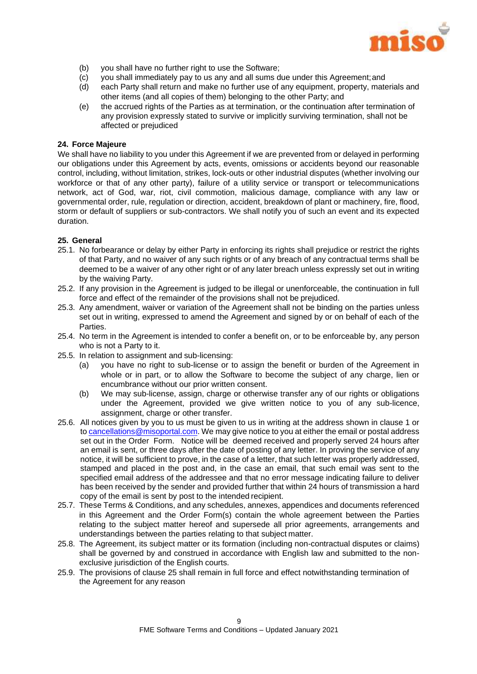

- (b) you shall have no further right to use the Software;
- (c) you shall immediately pay to us any and all sums due under this Agreement;and
- (d) each Party shall return and make no further use of any equipment, property, materials and other items (and all copies of them) belonging to the other Party; and
- (e) the accrued rights of the Parties as at termination, or the continuation after termination of any provision expressly stated to survive or implicitly surviving termination, shall not be affected or prejudiced

## **24. Force Majeure**

We shall have no liability to you under this Agreement if we are prevented from or delayed in performing our obligations under this Agreement by acts, events, omissions or accidents beyond our reasonable control, including, without limitation, strikes, lock-outs or other industrial disputes (whether involving our workforce or that of any other party), failure of a utility service or transport or telecommunications network, act of God, war, riot, civil commotion, malicious damage, compliance with any law or governmental order, rule, regulation or direction, accident, breakdown of plant or machinery, fire, flood, storm or default of suppliers or sub-contractors. We shall notify you of such an event and its expected duration.

## <span id="page-9-0"></span>**25. General**

- 25.1. No forbearance or delay by either Party in enforcing its rights shall prejudice or restrict the rights of that Party, and no waiver of any such rights or of any breach of any contractual terms shall be deemed to be a waiver of any other right or of any later breach unless expressly set out in writing by the waiving Party.
- 25.2. If any provision in the Agreement is judged to be illegal or unenforceable, the continuation in full force and effect of the remainder of the provisions shall not be prejudiced.
- 25.3. Any amendment, waiver or variation of the Agreement shall not be binding on the parties unless set out in writing, expressed to amend the Agreement and signed by or on behalf of each of the Parties.
- 25.4. No term in the Agreement is intended to confer a benefit on, or to be enforceable by, any person who is not a Party to it.
- 25.5. In relation to assignment and sub-licensing:
	- (a) you have no right to sub-license or to assign the benefit or burden of the Agreement in whole or in part, or to allow the Software to become the subject of any charge, lien or encumbrance without our prior written consent.
	- (b) We may sub-license, assign, charge or otherwise transfer any of our rights or obligations under the Agreement, provided we give written notice to you of any sub-licence, assignment, charge or other transfer.
- 25.6. All notices given by you to us must be given to us in writing at the address shown in clause 1 or to [cancellations@misoportal.com.](mailto:cancellations@misoportal.com) We may give notice to you at either the email or postal address set out in the Order Form. Notice will be deemed received and properly served 24 hours after an email is sent, or three days after the date of posting of any letter. In proving the service of any notice, it will be sufficient to prove, in the case of a letter, that such letter was properly addressed, stamped and placed in the post and, in the case an email, that such email was sent to the specified email address of the addressee and that no error message indicating failure to deliver has been received by the sender and provided further that within 24 hours of transmission a hard copy of the email is sent by post to the intended recipient.
- 25.7. These Terms & Conditions, and any schedules, annexes, appendices and documents referenced in this Agreement and the Order Form(s) contain the whole agreement between the Parties relating to the subject matter hereof and supersede all prior agreements, arrangements and understandings between the parties relating to that subject matter.
- 25.8. The Agreement, its subject matter or its formation (including non-contractual disputes or claims) shall be governed by and construed in accordance with English law and submitted to the nonexclusive jurisdiction of the English courts.
- 25.9. The provisions of clause [25](#page-9-0) shall remain in full force and effect notwithstanding termination of the Agreement for any reason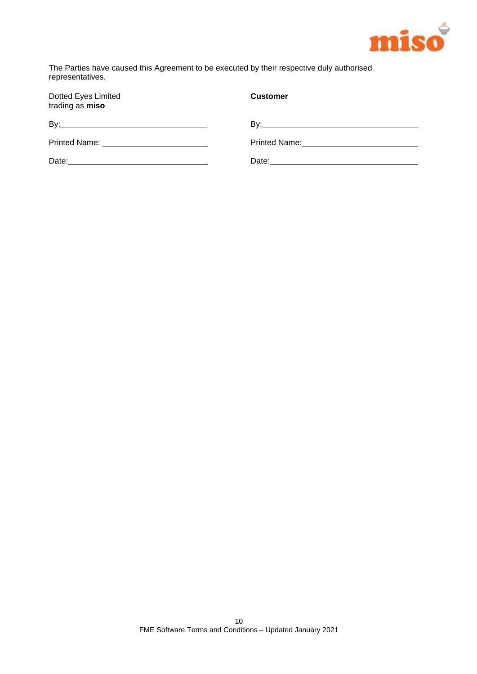

The Parties have caused this Agreement to be executed by their respective duly authorised representatives.

| Dotted Eyes Limited<br>trading as miso         | <b>Customer</b> |
|------------------------------------------------|-----------------|
|                                                |                 |
|                                                |                 |
| Date: <u>_________________________________</u> |                 |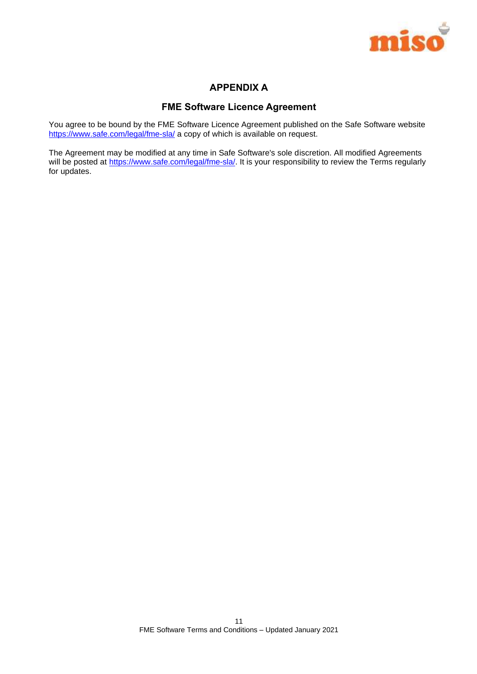

## **APPENDIX A**

## **FME Software Licence Agreement**

You agree to be bound by the FME Software Licence Agreement published on the Safe Software website <https://www.safe.com/legal/fme-sla/> a copy of which is available on request.

The Agreement may be modified at any time in Safe Software's sole discretion. All modified Agreements will be posted at [https://www.safe.com/legal/fme-sla/.](https://www.safe.com/legal/fme-sla/) It is your responsibility to review the Terms regularly for updates.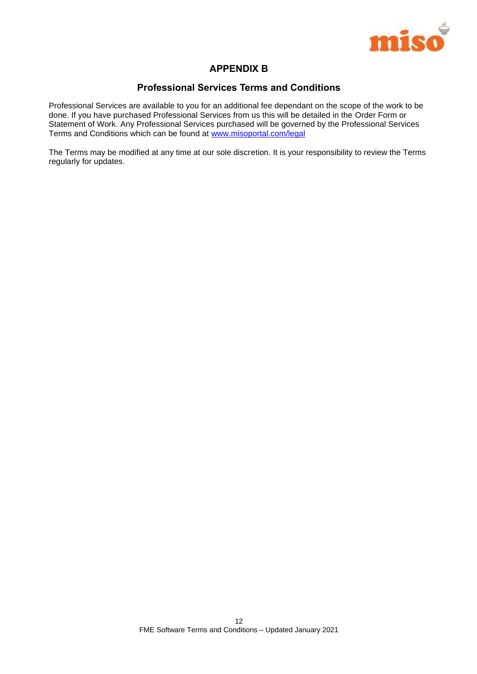

## **APPENDIX B**

## **Professional Services Terms and Conditions**

Professional Services are available to you for an additional fee dependant on the scope of the work to be done. If you have purchased Professional Services from us this will be detailed in the Order Form or Statement of Work. Any Professional Services purchased will be governed by the Professional Services Terms and Conditions which can be found at [www.misoportal.com/legal](http://www.misoportal.com/legal)

The Terms may be modified at any time at our sole discretion. It is your responsibility to review the Terms regularly for updates.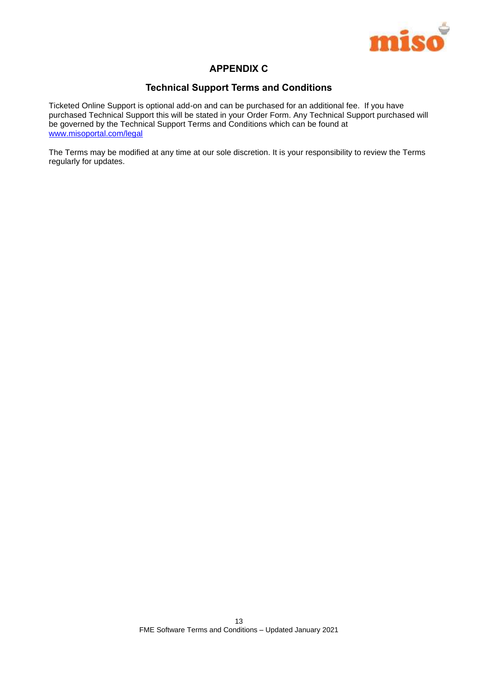

## **APPENDIX C**

## **Technical Support Terms and Conditions**

Ticketed Online Support is optional add-on and can be purchased for an additional fee. If you have purchased Technical Support this will be stated in your Order Form. Any Technical Support purchased will be governed by the Technical Support Terms and Conditions which can be found at [www.misoportal.com/legal](http://www.misoportal.com/legal)

The Terms may be modified at any time at our sole discretion. It is your responsibility to review the Terms regularly for updates.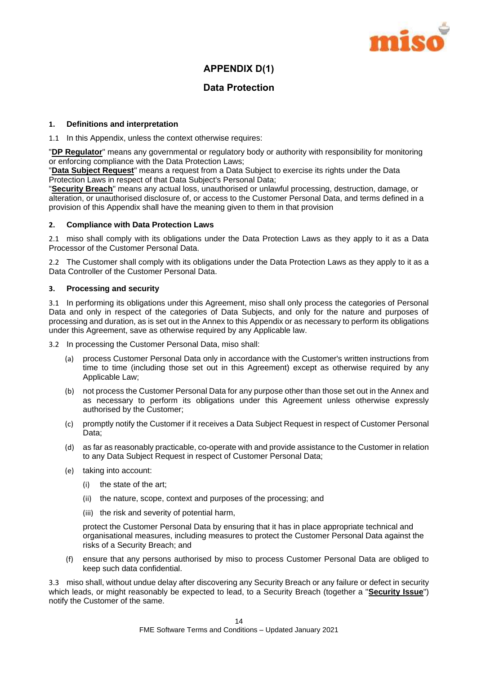

## **APPENDIX D(1)**

## **Data Protection**

## **1. Definitions and interpretation**

1.1 In this Appendix, unless the context otherwise requires:

"**DP Regulator**" means any governmental or regulatory body or authority with responsibility for monitoring or enforcing compliance with the Data Protection Laws;

"**Data Subject Request**" means a request from a Data Subject to exercise its rights under the Data Protection Laws in respect of that Data Subject's Personal Data;

"**Security Breach**" means any actual loss, unauthorised or unlawful processing, destruction, damage, or alteration, or unauthorised disclosure of, or access to the Customer Personal Data, and terms defined in a provision of this Appendix shall have the meaning given to them in that provision

#### **2. Compliance with Data Protection Laws**

2.1 miso shall comply with its obligations under the Data Protection Laws as they apply to it as a Data Processor of the Customer Personal Data.

2.2 The Customer shall comply with its obligations under the Data Protection Laws as they apply to it as a Data Controller of the Customer Personal Data.

## **3. Processing and security**

3.1 In performing its obligations under this Agreement, miso shall only process the categories of Personal Data and only in respect of the categories of Data Subjects, and only for the nature and purposes of processing and duration, as is set out in the Annex to this Appendix or as necessary to perform its obligations under this Agreement, save as otherwise required by any Applicable law.

3.2 In processing the Customer Personal Data, miso shall:

- (a) process Customer Personal Data only in accordance with the Customer's written instructions from time to time (including those set out in this Agreement) except as otherwise required by any Applicable Law;
- (b) not process the Customer Personal Data for any purpose other than those set out in the Annex and as necessary to perform its obligations under this Agreement unless otherwise expressly authorised by the Customer;
- (c) promptly notify the Customer if it receives a Data Subject Request in respect of Customer Personal Data;
- (d) as far as reasonably practicable, co-operate with and provide assistance to the Customer in relation to any Data Subject Request in respect of Customer Personal Data;
- (e) taking into account:
	- (i) the state of the art;
	- (ii) the nature, scope, context and purposes of the processing; and
	- (iii) the risk and severity of potential harm,

protect the Customer Personal Data by ensuring that it has in place appropriate technical and organisational measures, including measures to protect the Customer Personal Data against the risks of a Security Breach; and

(f) ensure that any persons authorised by miso to process Customer Personal Data are obliged to keep such data confidential.

3.3 miso shall, without undue delay after discovering any Security Breach or any failure or defect in security which leads, or might reasonably be expected to lead, to a Security Breach (together a "**Security Issue**") notify the Customer of the same.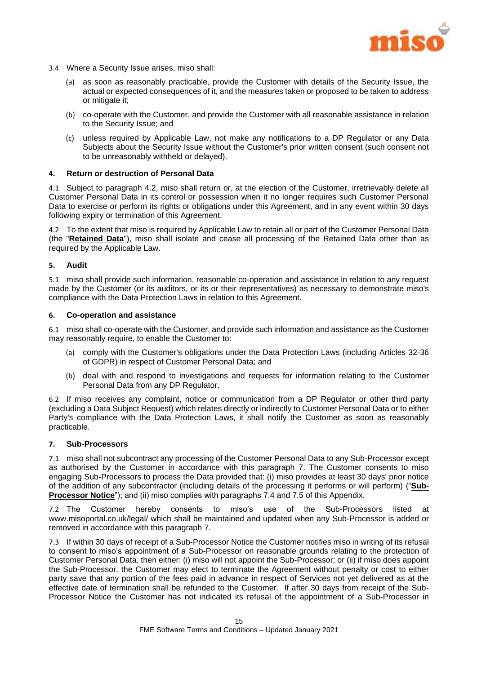

- 3.4 Where a Security Issue arises, miso shall:
	- (a) as soon as reasonably practicable, provide the Customer with details of the Security Issue, the actual or expected consequences of it, and the measures taken or proposed to be taken to address or mitigate it;
	- (b) co-operate with the Customer, and provide the Customer with all reasonable assistance in relation to the Security Issue; and
	- (c) unless required by Applicable Law, not make any notifications to a DP Regulator or any Data Subjects about the Security Issue without the Customer's prior written consent (such consent not to be unreasonably withheld or delayed).

#### **4. Return or destruction of Personal Data**

4.1 Subject to paragraph [4.2,](#page-15-0) miso shall return or, at the election of the Customer, irretrievably delete all Customer Personal Data in its control or possession when it no longer requires such Customer Personal Data to exercise or perform its rights or obligations under this Agreement, and in any event within 30 days following expiry or termination of this Agreement.

<span id="page-15-0"></span>4.2 To the extent that miso is required by Applicable Law to retain all or part of the Customer Personal Data (the "**Retained Data**"), miso shall isolate and cease all processing of the Retained Data other than as required by the Applicable Law.

#### **5. Audit**

5.1 miso shall provide such information, reasonable co-operation and assistance in relation to any request made by the Customer (or its auditors, or its or their representatives) as necessary to demonstrate miso's compliance with the Data Protection Laws in relation to this Agreement.

#### **6. Co-operation and assistance**

6.1 miso shall co-operate with the Customer, and provide such information and assistance as the Customer may reasonably require, to enable the Customer to:

- (a) comply with the Customer's obligations under the Data Protection Laws (including Articles 32-36 of GDPR) in respect of Customer Personal Data; and
- (b) deal with and respond to investigations and requests for information relating to the Customer Personal Data from any DP Regulator.

6.2 If miso receives any complaint, notice or communication from a DP Regulator or other third party (excluding a Data Subject Request) which relates directly or indirectly to Customer Personal Data or to either Party's compliance with the Data Protection Laws, it shall notify the Customer as soon as reasonably practicable.

#### <span id="page-15-1"></span>**7. Sub-Processors**

7.1 miso shall not subcontract any processing of the Customer Personal Data to any Sub-Processor except as authorised by the Customer in accordance with this paragraph [7.](#page-15-1) The Customer consents to miso engaging Sub-Processors to process the Data provided that: (i) miso provides at least 30 days' prior notice of the addition of any subcontractor (including details of the processing it performs or will perform) ("**Sub-Processor Notice**"); and (ii) miso complies with paragraphs [7.4](#page-16-0) and [7.5](#page-16-1) of this Appendix.

7.2 The Customer hereby consents to miso's use of the Sub-Processors listed at www.misoportal.co.uk/legal/ which shall be maintained and updated when any Sub-Processor is added or removed in accordance with this paragraph [7.](#page-15-1)

7.3 If within 30 days of receipt of a Sub-Processor Notice the Customer notifies miso in writing of its refusal to consent to miso's appointment of a Sub-Processor on reasonable grounds relating to the protection of Customer Personal Data, then either: (i) miso will not appoint the Sub-Processor; or (ii) if miso does appoint the Sub-Processor, the Customer may elect to terminate the Agreement without penalty or cost to either party save that any portion of the fees paid in advance in respect of Services not yet delivered as at the effective date of termination shall be refunded to the Customer. If after 30 days from receipt of the Sub-Processor Notice the Customer has not indicated its refusal of the appointment of a Sub-Processor in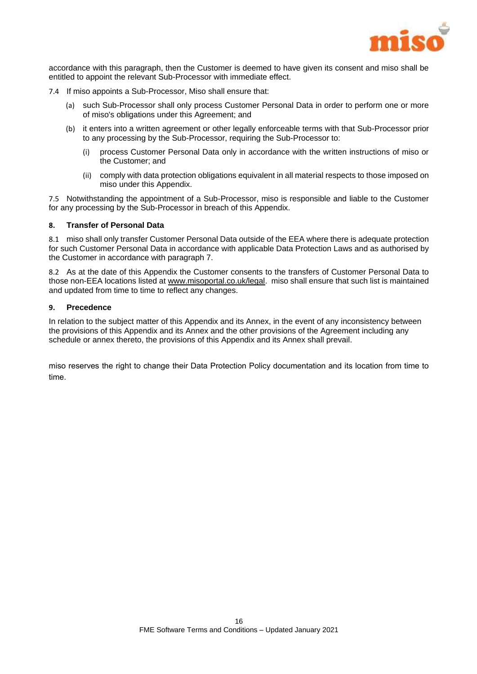

accordance with this paragraph, then the Customer is deemed to have given its consent and miso shall be entitled to appoint the relevant Sub-Processor with immediate effect.

- <span id="page-16-0"></span>7.4 If miso appoints a Sub-Processor, Miso shall ensure that:
	- (a) such Sub-Processor shall only process Customer Personal Data in order to perform one or more of miso's obligations under this Agreement; and
	- (b) it enters into a written agreement or other legally enforceable terms with that Sub-Processor prior to any processing by the Sub-Processor, requiring the Sub-Processor to:
		- (i) process Customer Personal Data only in accordance with the written instructions of miso or the Customer; and
		- (ii) comply with data protection obligations equivalent in all material respects to those imposed on miso under this Appendix.

<span id="page-16-1"></span>7.5 Notwithstanding the appointment of a Sub-Processor, miso is responsible and liable to the Customer for any processing by the Sub-Processor in breach of this Appendix.

## **8. Transfer of Personal Data**

8.1 miso shall only transfer Customer Personal Data outside of the EEA where there is adequate protection for such Customer Personal Data in accordance with applicable Data Protection Laws and as authorised by the Customer in accordance with paragraph 7.

8.2 As at the date of this Appendix the Customer consents to the transfers of Customer Personal Data to those non-EEA locations listed a[t www.misoportal.co.uk/legal.](http://www.misoportal.co.uk/legal) miso shall ensure that such list is maintained and updated from time to time to reflect any changes.

#### **9. Precedence**

In relation to the subject matter of this Appendix and its Annex, in the event of any inconsistency between the provisions of this Appendix and its Annex and the other provisions of the Agreement including any schedule or annex thereto, the provisions of this Appendix and its Annex shall prevail.

miso reserves the right to change their Data Protection Policy documentation and its location from time to time.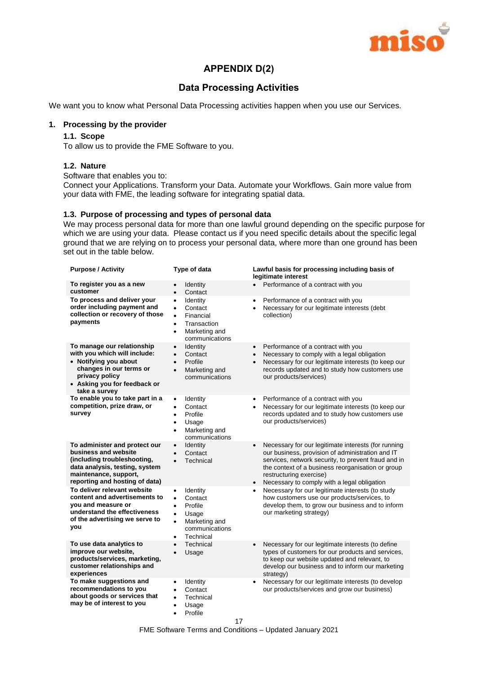

## **APPENDIX D(2)**

## **Data Processing Activities**

We want you to know what Personal Data Processing activities happen when you use our Services.

## **1. Processing by the provider**

## **1.1. Scope**

To allow us to provide the FME Software to you.

## **1.2. Nature**

Software that enables you to:

Connect your Applications. Transform your Data. Automate your Workflows. Gain more value from your data with FME, the leading software for integrating spatial data.

## **1.3. Purpose of processing and types of personal data**

We may process personal data for more than one lawful ground depending on the specific purpose for which we are using your data. Please contact us if you need specific details about the specific legal ground that we are relying on to process your personal data, where more than one ground has been set out in the table below.

| <b>Purpose / Activity</b>                                                                                                                                                         | Type of data                                                                                                                                                          | Lawful basis for processing including basis of<br>legitimate interest                                                                                                                                                                                                                                                   |
|-----------------------------------------------------------------------------------------------------------------------------------------------------------------------------------|-----------------------------------------------------------------------------------------------------------------------------------------------------------------------|-------------------------------------------------------------------------------------------------------------------------------------------------------------------------------------------------------------------------------------------------------------------------------------------------------------------------|
| To register you as a new<br>customer                                                                                                                                              | Identity<br>$\bullet$<br>Contact<br>$\bullet$                                                                                                                         | • Performance of a contract with you                                                                                                                                                                                                                                                                                    |
| To process and deliver your<br>order including payment and<br>collection or recovery of those<br>payments                                                                         | Identity<br>$\bullet$<br>Contact<br>$\bullet$<br>Financial<br>$\bullet$<br>Transaction<br>$\bullet$<br>Marketing and<br>$\bullet$<br>communications                   | Performance of a contract with you<br>$\bullet$<br>Necessary for our legitimate interests (debt<br>$\bullet$<br>collection)                                                                                                                                                                                             |
| To manage our relationship<br>with you which will include:<br>• Notifying you about<br>changes in our terms or<br>privacy policy<br>• Asking you for feedback or<br>take a survey | <b>Identity</b><br>$\bullet$<br>Contact<br>$\bullet$<br>Profile<br>$\bullet$<br>Marketing and<br>$\bullet$<br>communications                                          | Performance of a contract with you<br>$\bullet$<br>Necessary to comply with a legal obligation<br>$\bullet$<br>Necessary for our legitimate interests (to keep our<br>$\bullet$<br>records updated and to study how customers use<br>our products/services)                                                             |
| To enable you to take part in a<br>competition, prize draw, or<br>survey                                                                                                          | <b>Identity</b><br>$\bullet$<br>Contact<br>$\bullet$<br>Profile<br>$\bullet$<br>Usage<br>$\bullet$<br>Marketing and<br>$\bullet$<br>communications                    | Performance of a contract with you<br>٠<br>Necessary for our legitimate interests (to keep our<br>$\bullet$<br>records updated and to study how customers use<br>our products/services)                                                                                                                                 |
| To administer and protect our<br>business and website<br>(including troubleshooting,<br>data analysis, testing, system<br>maintenance, support,<br>reporting and hosting of data) | <b>Identity</b><br>$\bullet$<br>Contact<br>$\bullet$<br>Technical<br>$\bullet$                                                                                        | Necessary for our legitimate interests (for running<br>$\bullet$<br>our business, provision of administration and IT<br>services, network security, to prevent fraud and in<br>the context of a business reorganisation or group<br>restructuring exercise)<br>Necessary to comply with a legal obligation<br>$\bullet$ |
| To deliver relevant website<br>content and advertisements to<br>you and measure or<br>understand the effectiveness<br>of the advertising we serve to<br>you                       | Identity<br>$\bullet$<br>Contact<br>$\bullet$<br>Profile<br>$\bullet$<br>Usage<br>$\bullet$<br>Marketing and<br>$\bullet$<br>communications<br>Technical<br>$\bullet$ | Necessary for our legitimate interests (to study<br>$\bullet$<br>how customers use our products/services, to<br>develop them, to grow our business and to inform<br>our marketing strategy)                                                                                                                             |
| To use data analytics to<br>improve our website,<br>products/services, marketing,<br>customer relationships and<br>experiences                                                    | Technical<br>Usage<br>$\bullet$                                                                                                                                       | Necessary for our legitimate interests (to define<br>$\bullet$<br>types of customers for our products and services,<br>to keep our website updated and relevant, to<br>develop our business and to inform our marketing<br>strategy)                                                                                    |
| To make suggestions and<br>recommendations to you<br>about goods or services that<br>may be of interest to you                                                                    | Identity<br>٠<br>Contact<br>$\bullet$<br>Technical<br>$\bullet$<br>Usage<br>$\bullet$<br>Profile<br>$\bullet$                                                         | Necessary for our legitimate interests (to develop<br>our products/services and grow our business)<br>17                                                                                                                                                                                                                |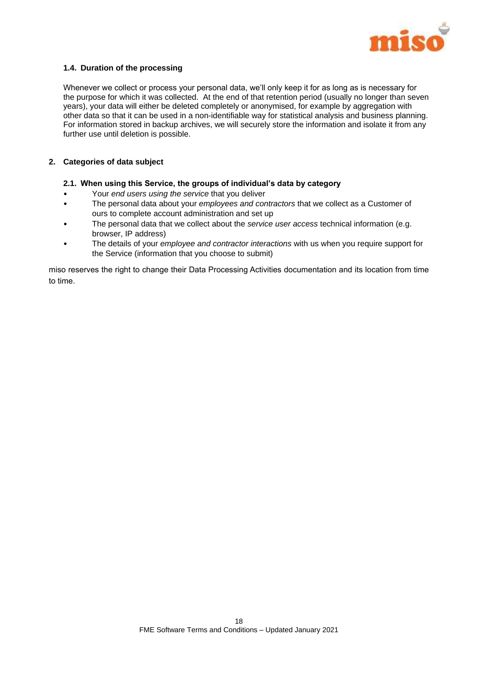

## **1.4. Duration of the processing**

Whenever we collect or process your personal data, we'll only keep it for as long as is necessary for the purpose for which it was collected. At the end of that retention period (usually no longer than seven years), your data will either be deleted completely or anonymised, for example by aggregation with other data so that it can be used in a non-identifiable way for statistical analysis and business planning. For information stored in backup archives, we will securely store the information and isolate it from any further use until deletion is possible.

## **2. Categories of data subject**

## **2.1. When using this Service, the groups of individual's data by category**

- Your *end users using the service* that you deliver
- The personal data about your *employees and contractors* that we collect as a Customer of ours to complete account administration and set up
- The personal data that we collect about the *service user access* technical information (e.g. browser, IP address)
- The details of your *employee and contractor interactions* with us when you require support for the Service (information that you choose to submit)

miso reserves the right to change their Data Processing Activities documentation and its location from time to time.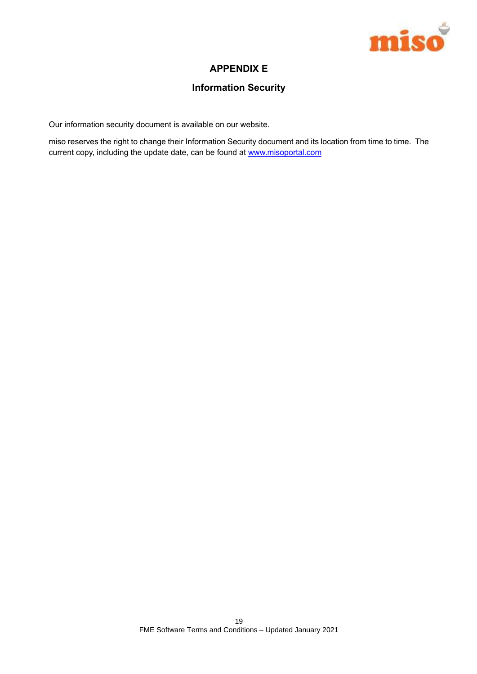

## **APPENDIX E**

## **Information Security**

Our information security document is available on our website.

miso reserves the right to change their Information Security document and its location from time to time. The current copy, including the update date, can be found at www.misoportal.com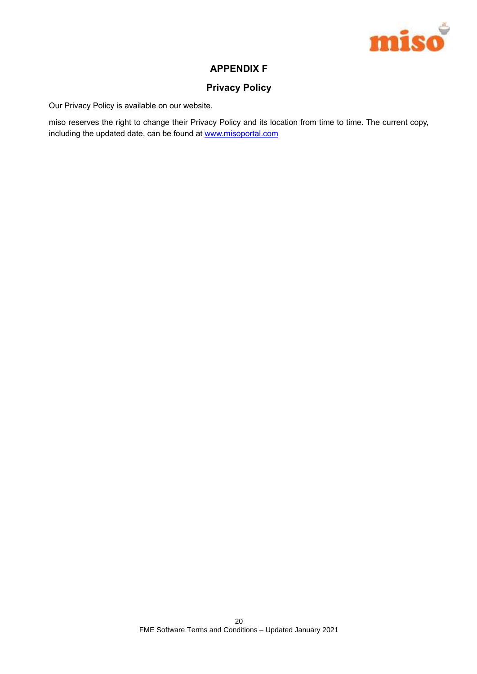

## **APPENDIX F**

## **Privacy Policy**

Our Privacy Policy is available on our website.

miso reserves the right to change their Privacy Policy and its location from time to time. The current copy, including the updated date, can be found at www.misoportal.com